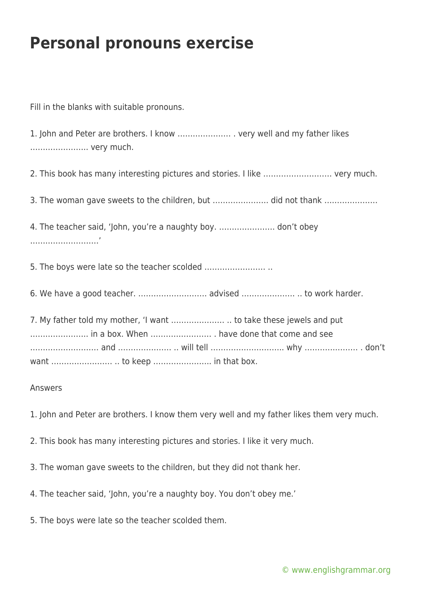## **Personal pronouns exercise**

Fill in the blanks with suitable pronouns.

1. John and Peter are brothers. I know ………………… . very well and my father likes ………………….. very much.

2. This book has many interesting pictures and stories. I like ……………………… very much.

3. The woman gave sweets to the children, but …………………. did not thank …………………

4. The teacher said, 'John, you're a naughty boy. …………………. don't obey ………………………'

5. The boys were late so the teacher scolded …………………… ..

6. We have a good teacher. ……………………… advised ………………… .. to work harder.

7. My father told my mother, 'I want ………………… .. to take these jewels and put ………………….. in a box. When …………………… . have done that come and see ……………………… and ………………… .. will tell ……………………….. why ………………… . don't want …………………… .. to keep ………………….. in that box.

## Answers

1. John and Peter are brothers. I know them very well and my father likes them very much.

- 2. This book has many interesting pictures and stories. I like it very much.
- 3. The woman gave sweets to the children, but they did not thank her.
- 4. The teacher said, 'John, you're a naughty boy. You don't obey me.'
- 5. The boys were late so the teacher scolded them.